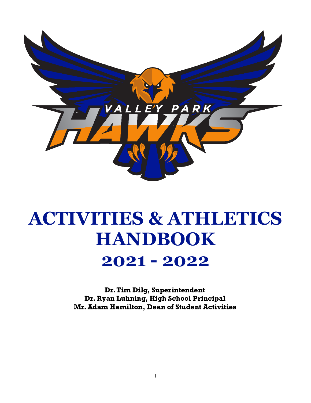

# **ACTIVITIES & ATHLETICS HANDBOOK**

## **2021 - 2022**

Dr.Tim Dilg, Superintendent Dr. Ryan Luhning, High School Principal Mr.Adam Hamilton, Dean of Student Activities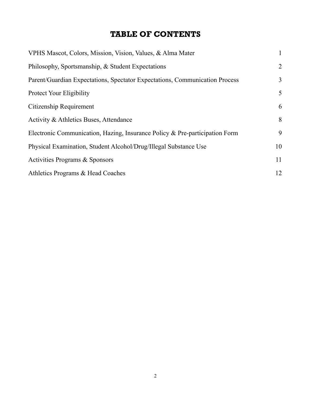## TABLE OF CONTENTS

| VPHS Mascot, Colors, Mission, Vision, Values, & Alma Mater                  | $\mathbf{1}$   |
|-----------------------------------------------------------------------------|----------------|
| Philosophy, Sportsmanship, & Student Expectations                           | $\overline{2}$ |
| Parent/Guardian Expectations, Spectator Expectations, Communication Process | $\overline{3}$ |
| <b>Protect Your Eligibility</b>                                             | 5              |
| Citizenship Requirement                                                     | 6              |
| Activity & Athletics Buses, Attendance                                      | 8              |
| Electronic Communication, Hazing, Insurance Policy & Pre-participation Form | 9              |
| Physical Examination, Student Alcohol/Drug/Illegal Substance Use            | 10             |
| Activities Programs & Sponsors                                              | 11             |
| Athletics Programs & Head Coaches                                           | 12             |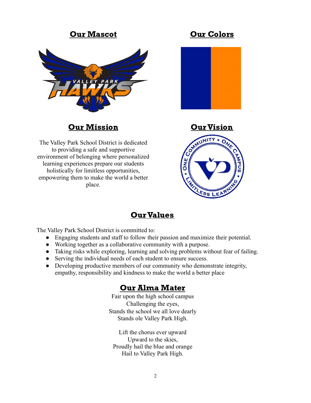### Our Mascot Our Colors



## **Our Mission Curvision**

The Valley Park School District is dedicated to providing a safe and supportive environment of belonging where personalized learning experiences prepare our students holistically for limitless opportunities, empowering them to make the world a better place.





## **Our Values**

The Valley Park School District is committed to:

- Engaging students and staff to follow their passion and maximize their potential.
- Working together as a collaborative community with a purpose.
- Taking risks while exploring, learning and solving problems without fear of failing.
- Serving the individual needs of each student to ensure success.
- Developing productive members of our community who demonstrate integrity, empathy, responsibility and kindness to make the world a better place

#### Our Alma Mater

Fair upon the high school campus Challenging the eyes, Stands the school we all love dearly Stands ole Valley Park High.

Lift the chorus ever upward Upward to the skies, Proudly hail the blue and orange Hail to Valley Park High.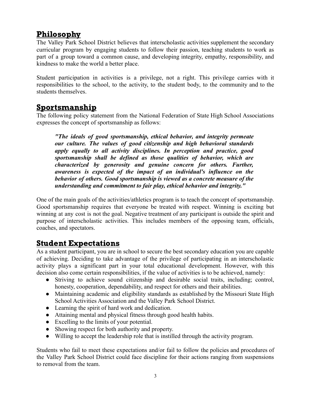## Philosophy

The Valley Park School District believes that interscholastic activities supplement the secondary curricular program by engaging students to follow their passion, teaching students to work as part of a group toward a common cause, and developing integrity, empathy, responsibility, and kindness to make the world a better place.

Student participation in activities is a privilege, not a right. This privilege carries with it responsibilities to the school, to the activity, to the student body, to the community and to the students themselves.

## **Sportsmanship**

The following policy statement from the National Federation of State High School Associations expresses the concept of sportsmanship as follows:

*"The ideals of good sportsmanship, ethical behavior, and integrity permeate our culture. The values of good citizenship and high behavioral standards apply equally to all activity disciplines. In perception and practice, good sportsmanship shall be defined as those qualities of behavior, which are characterized by generosity and genuine concern for others. Further, awareness is expected of the impact of an individual's influence on the behavior of others. Good sportsmanship is viewed as a concrete measure of the understanding and commitment to fair play, ethical behavior and integrity."*

One of the main goals of the activities/athletics program is to teach the concept of sportsmanship. Good sportsmanship requires that everyone be treated with respect. Winning is exciting but winning at any cost is not the goal. Negative treatment of any participant is outside the spirit and purpose of interscholastic activities. This includes members of the opposing team, officials, coaches, and spectators.

## Student Expectations

As a student participant, you are in school to secure the best secondary education you are capable of achieving. Deciding to take advantage of the privilege of participating in an interscholastic activity plays a significant part in your total educational development. However, with this decision also come certain responsibilities, if the value of activities is to be achieved, namely:

- Striving to achieve sound citizenship and desirable social traits, including; control, honesty, cooperation, dependability, and respect for others and their abilities.
- Maintaining academic and eligibility standards as established by the Missouri State High School Activities Association and the Valley Park School District.
- Learning the spirit of hard work and dedication.
- Attaining mental and physical fitness through good health habits.
- Excelling to the limits of your potential.
- Showing respect for both authority and property.
- Willing to accept the leadership role that is instilled through the activity program.

Students who fail to meet these expectations and/or fail to follow the policies and procedures of the Valley Park School District could face discipline for their actions ranging from suspensions to removal from the team.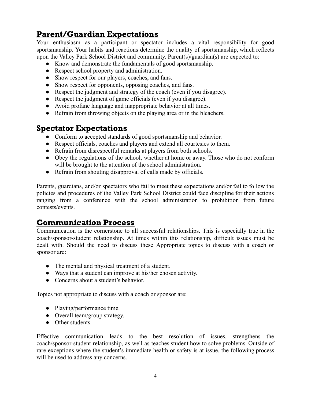## Parent/Guardian Expectations

Your enthusiasm as a participant or spectator includes a vital responsibility for good sportsmanship. Your habits and reactions determine the quality of sportsmanship, which reflects upon the Valley Park School District and community. Parent(s)/guardian(s) are expected to:

- Know and demonstrate the fundamentals of good sportsmanship.
- Respect school property and administration.
- Show respect for our players, coaches, and fans.
- Show respect for opponents, opposing coaches, and fans.
- Respect the judgment and strategy of the coach (even if you disagree).
- Respect the judgment of game officials (even if you disagree).
- Avoid profane language and inappropriate behavior at all times.
- Refrain from throwing objects on the playing area or in the bleachers.

#### Spectator Expectations

- Conform to accepted standards of good sportsmanship and behavior.
- Respect officials, coaches and players and extend all courtesies to them.
- Refrain from disrespectful remarks at players from both schools.
- Obey the regulations of the school, whether at home or away. Those who do not conform will be brought to the attention of the school administration.
- Refrain from shouting disapproval of calls made by officials.

Parents, guardians, and/or spectators who fail to meet these expectations and/or fail to follow the policies and procedures of the Valley Park School District could face discipline for their actions ranging from a conference with the school administration to prohibition from future contests/events.

#### Communication Process

Communication is the cornerstone to all successful relationships. This is especially true in the coach/sponsor-student relationship. At times within this relationship, difficult issues must be dealt with. Should the need to discuss these Appropriate topics to discuss with a coach or sponsor are:

- The mental and physical treatment of a student.
- Ways that a student can improve at his/her chosen activity.
- Concerns about a student's behavior.

Topics not appropriate to discuss with a coach or sponsor are:

- Playing/performance time.
- Overall team/group strategy.
- Other students.

Effective communication leads to the best resolution of issues, strengthens the coach/sponsor-student relationship, as well as teaches student how to solve problems. Outside of rare exceptions where the student's immediate health or safety is at issue, the following process will be used to address any concerns.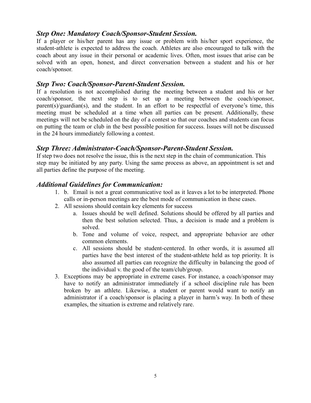#### *Step One: Mandatory Coach/Sponsor-Student Session.*

If a player or his/her parent has any issue or problem with his/her sport experience, the student-athlete is expected to address the coach. Athletes are also encouraged to talk with the coach about any issue in their personal or academic lives. Often, most issues that arise can be solved with an open, honest, and direct conversation between a student and his or her coach/sponsor.

#### *Step Two: Coach/Sponsor-Parent-Student Session.*

If a resolution is not accomplished during the meeting between a student and his or her coach/sponsor, the next step is to set up a meeting between the coach/sponsor, parent(s)/guardian(s), and the student. In an effort to be respectful of everyone's time, this meeting must be scheduled at a time when all parties can be present. Additionally, these meetings will not be scheduled on the day of a contest so that our coaches and students can focus on putting the team or club in the best possible position for success. Issues will not be discussed in the 24 hours immediately following a contest.

#### *Step Three: Administrator-Coach/Sponsor-Parent-Student Session.*

If step two does not resolve the issue, this is the next step in the chain of communication. This step may be initiated by any party. Using the same process as above, an appointment is set and all parties define the purpose of the meeting.

#### *Additional Guidelines for Communication:*

- 1. b. Email is not a great communicative tool as it leaves a lot to be interpreted. Phone calls or in-person meetings are the best mode of communication in these cases.
- 2. All sessions should contain key elements for success
	- a. Issues should be well defined. Solutions should be offered by all parties and then the best solution selected. Thus, a decision is made and a problem is solved.
	- b. Tone and volume of voice, respect, and appropriate behavior are other common elements.
	- c. All sessions should be student-centered. In other words, it is assumed all parties have the best interest of the student-athlete held as top priority. It is also assumed all parties can recognize the difficulty in balancing the good of the individual v. the good of the team/club/group.
- 3. Exceptions may be appropriate in extreme cases. For instance, a coach/sponsor may have to notify an administrator immediately if a school discipline rule has been broken by an athlete. Likewise, a student or parent would want to notify an administrator if a coach/sponsor is placing a player in harm's way. In both of these examples, the situation is extreme and relatively rare.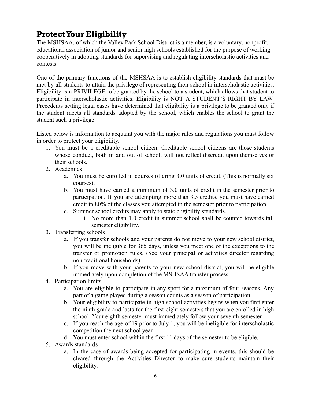## ProtectYour Eligibility

The MSHSAA, of which the Valley Park School District is a member, is a voluntary, nonprofit, educational association of junior and senior high schools established for the purpose of working cooperatively in adopting standards for supervising and regulating interscholastic activities and contests.

One of the primary functions of the MSHSAA is to establish eligibility standards that must be met by all students to attain the privilege of representing their school in interscholastic activities. Eligibility is a PRIVILEGE to be granted by the school to a student, which allows that student to participate in interscholastic activities. Eligibility is NOT A STUDENT'S RIGHT BY LAW. Precedents setting legal cases have determined that eligibility is a privilege to be granted only if the student meets all standards adopted by the school, which enables the school to grant the student such a privilege.

Listed below is information to acquaint you with the major rules and regulations you must follow in order to protect your eligibility.

- 1. You must be a creditable school citizen. Creditable school citizens are those students whose conduct, both in and out of school, will not reflect discredit upon themselves or their schools.
- 2. Academics
	- a. You must be enrolled in courses offering 3.0 units of credit. (This is normally six courses).
	- b. You must have earned a minimum of 3.0 units of credit in the semester prior to participation. If you are attempting more than 3.5 credits, you must have earned credit in 80% of the classes you attempted in the semester prior to participation.
	- c. Summer school credits may apply to state eligibility standards.
		- i. No more than 1.0 credit in summer school shall be counted towards fall semester eligibility.
- 3. Transferring schools
	- a. If you transfer schools and your parents do not move to your new school district, you will be ineligible for 365 days, unless you meet one of the exceptions to the transfer or promotion rules. (See your principal or activities director regarding non-traditional households).
	- b. If you move with your parents to your new school district, you will be eligible immediately upon completion of the MSHSAA transfer process.
- 4. Participation limits
	- a. You are eligible to participate in any sport for a maximum of four seasons. Any part of a game played during a season counts as a season of participation.
	- b. Your eligibility to participate in high school activities begins when you first enter the ninth grade and lasts for the first eight semesters that you are enrolled in high school. Your eighth semester must immediately follow your seventh semester.
	- c. If you reach the age of 19 prior to July 1, you will be ineligible for interscholastic competition the next school year.
	- d. You must enter school within the first 11 days of the semester to be eligible.
- 5. Awards standards
	- a. In the case of awards being accepted for participating in events, this should be cleared through the Activities Director to make sure students maintain their eligibility.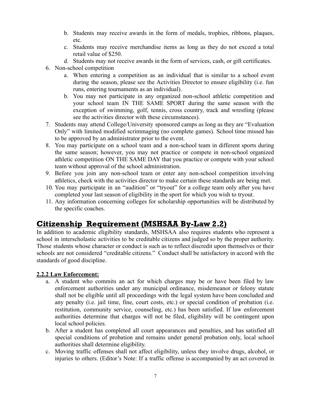- b. Students may receive awards in the form of medals, trophies, ribbons, plaques, etc.
- c. Students may receive merchandise items as long as they do not exceed a total retail value of \$250.
- d. Students may not receive awards in the form of services, cash, or gift certificates.
- 6. Non-school competition
	- a. When entering a competition as an individual that is similar to a school event during the season, please see the Activities Director to ensure eligibility (i.e. fun runs, entering tournaments as an individual).
	- b. You may not participate in any organized non-school athletic competition and your school team IN THE SAME SPORT during the same season with the exception of swimming, golf, tennis, cross country, track and wrestling (please see the activities director with these circumstances).
- 7. Students may attend College/University sponsored camps as long as they are "Evaluation Only" with limited modified scrimmaging (no complete games). School time missed has to be approved by an administrator prior to the event.
- 8. You may participate on a school team and a non-school team in different sports during the same season; however, you may not practice or compete in non-school organized athletic competition ON THE SAME DAY that you practice or compete with your school team without approval of the school administration.
- 9. Before you join any non-school team or enter any non-school competition involving athletics, check with the activities director to make certain these standards are being met.
- 10. You may participate in an "audition" or "tryout" for a college team only after you have completed your last season of eligibility in the sport for which you wish to tryout.
- 11. Any information concerning colleges for scholarship opportunities will be distributed by the specific coaches.

## Citizenship Requirement (MSHSAA By-Law 2.2)

In addition to academic eligibility standards, MSHSAA also requires students who represent a school in interscholastic activities to be creditable citizens and judged so by the proper authority. Those students whose character or conduct is such as to reflect discredit upon themselves or their schools are not considered "creditable citizens." Conduct shall be satisfactory in accord with the standards of good discipline.

#### **2.2.2 Law Enforcement:**

- a. A student who commits an act for which charges may be or have been filed by law enforcement authorities under any municipal ordinance, misdemeanor or felony statute shall not be eligible until all proceedings with the legal system have been concluded and any penalty (i.e. jail time, fine, court costs, etc.) or special condition of probation (i.e. restitution, community service, counseling, etc.) has been satisfied. If law enforcement authorities determine that charges will not be filed, eligibility will be contingent upon local school policies.
- b. After a student has completed all court appearances and penalties, and has satisfied all special conditions of probation and remains under general probation only, local school authorities shall determine eligibility.
- c. Moving traffic offenses shall not affect eligibility, unless they involve drugs, alcohol, or injuries to others. (Editor's Note: If a traffic offense is accompanied by an act covered in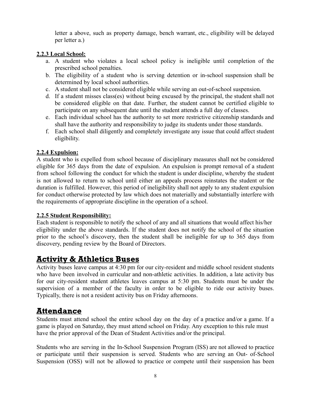letter a above, such as property damage, bench warrant, etc., eligibility will be delayed per letter a.)

#### **2.2.3 Local School:**

- a. A student who violates a local school policy is ineligible until completion of the prescribed school penalties.
- b. The eligibility of a student who is serving detention or in-school suspension shall be determined by local school authorities.
- c. A student shall not be considered eligible while serving an out-of-school suspension.
- d. If a student misses class(es) without being excused by the principal, the student shall not be considered eligible on that date. Further, the student cannot be certified eligible to participate on any subsequent date until the student attends a full day of classes.
- e. Each individual school has the authority to set more restrictive citizenship standards and shall have the authority and responsibility to judge its students under those standards.
- f. Each school shall diligently and completely investigate any issue that could affect student eligibility.

#### **2.2.4 Expulsion:**

A student who is expelled from school because of disciplinary measures shall not be considered eligible for 365 days from the date of expulsion. An expulsion is prompt removal of a student from school following the conduct for which the student is under discipline, whereby the student is not allowed to return to school until either an appeals process reinstates the student or the duration is fulfilled. However, this period of ineligibility shall not apply to any student expulsion for conduct otherwise protected by law which does not materially and substantially interfere with the requirements of appropriate discipline in the operation of a school.

#### **2.2.5 Student Responsibility:**

Each student is responsible to notify the school of any and all situations that would affect his/her eligibility under the above standards. If the student does not notify the school of the situation prior to the school's discovery, then the student shall be ineligible for up to 365 days from discovery, pending review by the Board of Directors.

## Activity & Athletics Buses

Activity buses leave campus at 4:30 pm for our city-resident and middle school resident students who have been involved in curricular and non-athletic activities. In addition, a late activity bus for our city-resident student athletes leaves campus at 5:30 pm. Students must be under the supervision of a member of the faculty in order to be eligible to ride our activity buses. Typically, there is not a resident activity bus on Friday afternoons.

## Attendance

Students must attend school the entire school day on the day of a practice and/or a game. If a game is played on Saturday, they must attend school on Friday. Any exception to this rule must have the prior approval of the Dean of Student Activities and/or the principal.

Students who are serving in the In-School Suspension Program (ISS) are not allowed to practice or participate until their suspension is served. Students who are serving an Out- of-School Suspension (OSS) will not be allowed to practice or compete until their suspension has been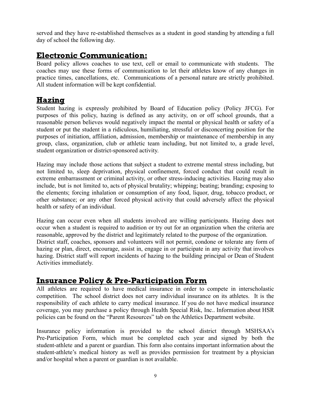served and they have re-established themselves as a student in good standing by attending a full day of school the following day.

## Electronic Communication:

Board policy allows coaches to use text, cell or email to communicate with students. The coaches may use these forms of communication to let their athletes know of any changes in practice times, cancellations, etc. Communications of a personal nature are strictly prohibited. All student information will be kept confidential.

## **Hazing**

Student hazing is expressly prohibited by Board of Education policy (Policy JFCG). For purposes of this policy, hazing is defined as any activity, on or off school grounds, that a reasonable person believes would negatively impact the mental or physical health or safety of a student or put the student in a ridiculous, humiliating, stressful or disconcerting position for the purposes of initiation, affiliation, admission, membership or maintenance of membership in any group, class, organization, club or athletic team including, but not limited to, a grade level, student organization or district-sponsored activity.

Hazing may include those actions that subject a student to extreme mental stress including, but not limited to, sleep deprivation, physical confinement, forced conduct that could result in extreme embarrassment or criminal activity, or other stress-inducing activities. Hazing may also include, but is not limited to, acts of physical brutality; whipping; beating; branding; exposing to the elements; forcing inhalation or consumption of any food, liquor, drug, tobacco product, or other substance; or any other forced physical activity that could adversely affect the physical health or safety of an individual.

Hazing can occur even when all students involved are willing participants. Hazing does not occur when a student is required to audition or try out for an organization when the criteria are reasonable, approved by the district and legitimately related to the purpose of the organization. District staff, coaches, sponsors and volunteers will not permit, condone or tolerate any form of hazing or plan, direct, encourage, assist in, engage in or participate in any activity that involves hazing. District staff will report incidents of hazing to the building principal or Dean of Student Activities immediately.

## Insurance Policy & Pre-Participation Form

All athletes are required to have medical insurance in order to compete in interscholastic competition. The school district does not carry individual insurance on its athletes. It is the responsibility of each athlete to carry medical insurance. If you do not have medical insurance coverage, you may purchase a policy through Health Special Risk, Inc.. Information about HSR policies can be found on the "Parent Resources" tab on the Athletics Department website.

Insurance policy information is provided to the school district through MSHSAA's Pre-Participation Form, which must be completed each year and signed by both the student-athlete and a parent or guardian. This form also contains important information about the student-athlete's medical history as well as provides permission for treatment by a physician and/or hospital when a parent or guardian is not available.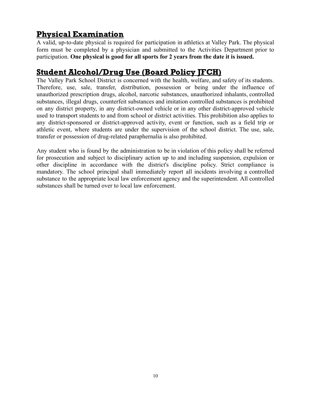## Physical Examination

A valid, up-to-date physical is required for participation in athletics at Valley Park. The physical form must be completed by a physician and submitted to the Activities Department prior to participation. **One physical is good for all sports for 2 years from the date it is issued.**

## Student Alcohol/Drug Use (Board Policy JFCH)

The Valley Park School District is concerned with the health, welfare, and safety of its students. Therefore, use, sale, transfer, distribution, possession or being under the influence of unauthorized prescription drugs, alcohol, narcotic substances, unauthorized inhalants, controlled substances, illegal drugs, counterfeit substances and imitation controlled substances is prohibited on any district property, in any district-owned vehicle or in any other district-approved vehicle used to transport students to and from school or district activities. This prohibition also applies to any district-sponsored or district-approved activity, event or function, such as a field trip or athletic event, where students are under the supervision of the school district. The use, sale, transfer or possession of drug-related paraphernalia is also prohibited.

Any student who is found by the administration to be in violation of this policy shall be referred for prosecution and subject to disciplinary action up to and including suspension, expulsion or other discipline in accordance with the district's discipline policy. Strict compliance is mandatory. The school principal shall immediately report all incidents involving a controlled substance to the appropriate local law enforcement agency and the superintendent. All controlled substances shall be turned over to local law enforcement.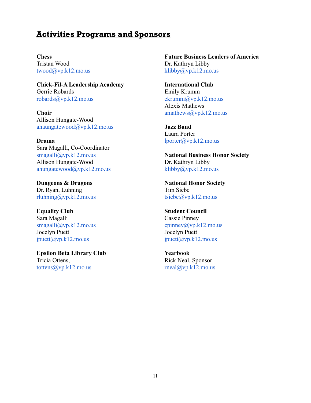#### Activities Programs and Sponsors

**Chess** Tristan Wood [twood@vp.k12.mo.us](mailto:twood@vp.k12.mo.us)

**Chick-Fil-A Leadership Academy** Gerrie Robards [robards@vp.k12.mo.us](mailto:grobards@vp.k12.mo.us)

**Choir** Allison Hungate-Wood [ahaungatewood@vp.k12.mo.us](mailto:ahaungatewood@vp.k12.mo.us)

**Drama** Sara Magalli, Co-Coordinator [smagalli@vp.k12.mo.us](mailto:smagalli@vp.k12.mo.us) Allison Hungate-Wood [ahungatewood@vp.k12.mo.us](mailto:ahungatewood@vp.k12.mo.us)

**Dungeons & Dragons** Dr. Ryan, Luhning [rluhning@vp.k12.mo.us](mailto:rluhning@vp.k12.mo.us)

**Equality Club** Sara Magalli [smagalli@vp.k12.mo.us](mailto:smagalli@vp.k12.mo.us) Jocelyn Puett jpuett $(a$ <sub>vp.k12</sub>.mo.us</sub>

**Epsilon Beta Library Club** Tricia Ottens, [tottens@vp.k12.mo.us](mailto:tottens@vp.k12.mo.us)

**Future Business Leaders of America** Dr. Kathryn Libby [klibby@vp.k12.mo.us](mailto:klibby@vp.k12.mo.us)

**International Club** Emily Krumm  $ekrumm(a)vp.k12.mo.us$ Alexis Mathews [amathews@vp.k12.mo.us](mailto:amathews@vp.k12.mo.us)

**Jazz Band** Laura Porter [lporter@vp.k12.mo.us](mailto:lporter@vp.k12.mo.us)

**National Business Honor Society** Dr. Kathryn Libby [klibby@vp.k12.mo.us](mailto:klibby@vp.k12.mo.us)

**National Honor Society** Tim Siebe [tsiebe@vp.k12.mo.us](mailto:tsiebe@vp.k12.mo.us)

**Student Council** Cassie Pinney cpinney@yp.k12.mo.us Jocelyn Puett jpuett $(a$ <sub>vp.k12</sub>.mo.us</sub>

**Yearbook** Rick Neal, Sponsor  $rneal@vp.k12.mo.us$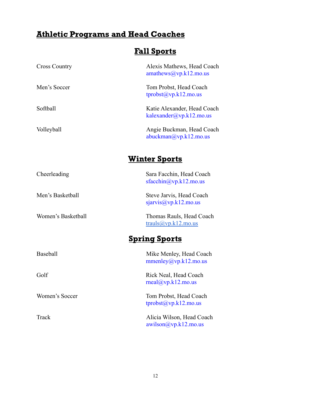## Athletic Programs and Head Coaches

## Fall Sports

| <b>Cross Country</b> | Alexis Mathews, Head Coach<br>amathews@vp.k12.mo.us          |
|----------------------|--------------------------------------------------------------|
| Men's Soccer         | Tom Probst, Head Coach<br>tprobst(a)vp.k12.mo.us             |
| Softball             | Katie Alexander, Head Coach<br>kalexander@yp.k12.mo.us       |
| Volleyball           | Angie Buckman, Head Coach<br>abuckman@vp.k12.mo.us           |
|                      | <u>Winter Sports</u>                                         |
| Cheerleading         | Sara Facchin, Head Coach<br>sfacchin@vp.k12.mo.us            |
| Men's Basketball     | Steve Jarvis, Head Coach<br>signvis@vp.k12.mo.us             |
| Women's Basketball   | Thomas Rauls, Head Coach<br>trauls@vp.k12.mo.us              |
|                      | <u>Spring Sports</u>                                         |
| <b>Baseball</b>      | Mike Menley, Head Coach<br>mmenley@yp.k12.mo.us              |
| Golf                 | Rick Neal, Head Coach<br>$\text{mcal}(\hat{a})$ vp.k12.mo.us |
| Women's Soccer       | Tom Probst, Head Coach<br>$tprobst(\partial_y)p.k12.mo.us$   |
| Track                | Alicia Wilson, Head Coach<br>awilson@vp.k12.mo.us            |